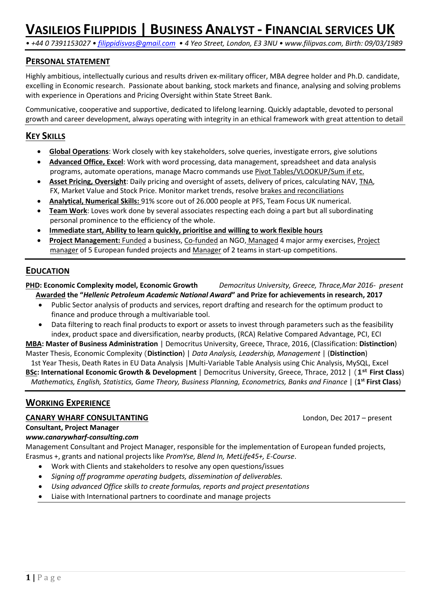*• +44 0 7391153027 • [filippidisvas@gmail.com](mailto:filippidisvas@gmail.com) • 4 Yeo Street, London, E3 3NU • www.filipvas.com, Birth: 09/03/1989*

## **PERSONAL STATEMENT**

Highly ambitious, intellectually curious and results driven ex-military officer, MBA degree holder and Ph.D. candidate, excelling in Economic research. Passionate about banking, stock markets and finance, analysing and solving problems with experience in Operations and Pricing Oversight within State Street Bank.

Communicative, cooperative and supportive, dedicated to lifelong learning. Quickly adaptable, devoted to personal growth and career development, always operating with integrity in an ethical framework with great attention to detail

## **KEY SKILLS**

- **Global Operations**: Work closely with key stakeholders, solve queries, investigate errors, give solutions
- **Advanced Office, Excel**: Work with word processing, data management, spreadsheet and data analysis programs, automate operations, manage Macro commands use Pivot Tables/VLOOKUP/Sum if etc.
- **Asset Pricing, Oversight**: Daily pricing and oversight of assets, delivery of prices, calculating NAV, TNA, FX, Market Value and Stock Price. Monitor market trends, resolve brakes and reconciliations
- **Analytical, Numerical Skills:** 91% score out of 26.000 people at PFS, Team Focus UK numerical.
- **Team Work**: Loves work done by several associates respecting each doing a part but all subordinating personal prominence to the efficiency of the whole.
- **Immediate start, Ability to learn quickly, prioritise and willing to work flexible hours**
- **Project Management:** Funded a business, Co-funded an NGO, Managed 4 major army exercises, Project manager of 5 European funded projects and Manager of 2 teams in start-up competitions.

## **EDUCATION**

**PHD: Economic Complexity model, Economic Growth** *Democritus University, Greece, Thrace,Mar 2016- present* **Awarded the "***Hellenic Petroleum Academic National Award***" and Prize for achievements in research, 2017**

- Public Sector analysis of products and services, report drafting and research for the optimum product to finance and produce through a multivariable tool.
- Data filtering to reach final products to export or assets to invest through parameters such as the feasibility index, product space and diversification, nearby products, (RCA) Relative Compared Advantage, PCI, ECI

**MBA: Master of Business Administration** | Democritus University, Greece, Thrace, 2016, (Classification: **Distinction**) Master Thesis, Economic Complexity (**Distinction**) | *Data Analysis, Leadership, Management* | (**Distinction**)

 1st Year Thesis, Death Rates in EU Data Analysis |Multi-Variable Table Analysis using Chic Analysis, MySQL, Excel **BSc: International Economic Growth & Development** | Democritus University, Greece, Thrace, 2012 | (**1st First Class**)  *Mathematics, English, Statistics, Game Theory, Business Planning, Econometrics, Banks and Finance* | (**1 st First Class**)

## **WORKING EXPERIENCE**

#### **CANARY WHARF CONSULTANTING** London, Dec 2017 – present

**Consultant, Project Manager**

#### *www.canarywharf-consulting.com*

Management Consultant and Project Manager, responsible for the implementation of European funded projects, Erasmus +, grants and national projects like *PromYse, Blend In, MetLife45+, E-Course*.

- Work with Clients and stakeholders to resolve any open questions/issues
- *Signing off programme operating budgets, dissemination of deliverables.*
- *Using advanced Office skills to create formulas, reports and project presentations*
- Liaise with International partners to coordinate and manage projects